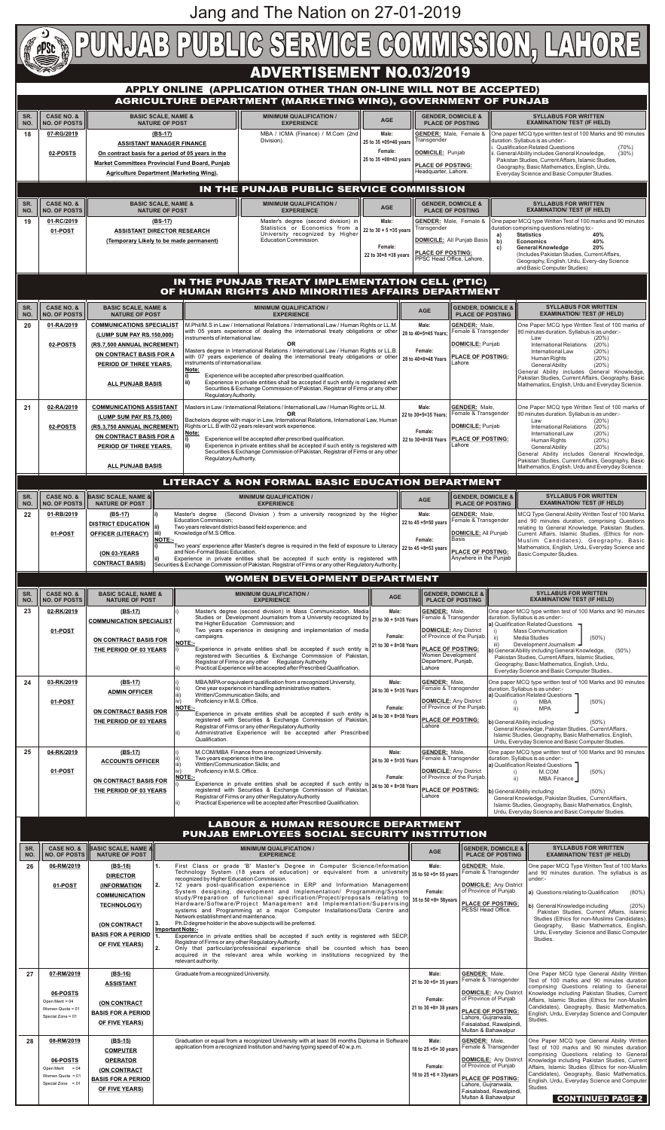

**01-POST**

| 24<br>25                                                                                      | 03-RK/2019<br>01-POST<br>04-RK/2019                                                    | ON CONTRACT BASIS FOR<br>THE PERIOD OF 03 YEARS<br>$(BS-17)$<br><b>ADMIN OFFICER</b><br>ON CONTRACT BASIS FOR<br>THE PERIOD OF 03 YEARS<br>$(BS-17)$<br><b>ACCOUNTS OFFICER</b> | Female:<br>campaigns.<br><b>NOTE:-</b><br>21 to 30 + 8=38 Years<br>Experience in private entities shall be accepted if such entity is<br>registered with Securities & Exchange Commission of Pakistan,<br>Registrar of Firms or any other Regulatory Authority<br>Practical Experience will be accepted after Prescribed Qualification.<br>Male:<br>MBA/MPA or equivalent qualification from a recognized University,<br>One year experience in handling administrative matters.<br>24 to 30 + 5=35 Years<br>Written/Communication Skills; and<br>Proficiency in M.S. Office.<br><b>NOTE:-</b><br>Female:<br>Experience in private entities shall be accepted if such entity is $ _{24}$ to 30 + 8=38 Years<br>registered with Securities & Exchange Commission of Pakistan,<br>Registrar of Firms or any other Regulatory Authority<br>Administrative Experience will be accepted after Prescribed<br>Qualification.<br>M.COM/MBA Finance from a recognized University.<br>Male:<br>Two years experience in the line.<br>24 to 30 + 5=35 Years<br>Written/Communication Skills; and                   | of Province of the Punjab.<br><b>PLACE OF POSTING:</b><br>Women Development<br>Department, Punjab,<br>Lahore<br><b>GENDER: Male,</b><br>Female & Transgender<br><b>DOMICILE: Any District</b><br>of Province of the Punjab.<br>PLACE OF POSTING:<br>Lahore<br><b>GENDER: Male.</b><br>Female & Transgender | ii)<br>iii)<br>ii)                                                                                                                                                                                          | $(50\%)$<br>Media Studies<br>Development Journalism -<br>b) General Ability including General Knowledge,<br>$(50\%)$<br>Pakistan Studies, Current Affairs, Islamic Studies,<br>Geography, Basic Mathematics, English, Urdu,<br>Everyday Science and Basic Computer Studies<br>One paper MCQ type written test of 100 Marks and 90 minutes<br>duration. Syllabus is as under:-<br>a) Qualification Related Questions<br>$(50\%)$<br>MBA<br><b>MPA</b><br>b) General Ability including<br>$(50\%)$<br>General Knowledge, Pakistan Studies, Current Affairs,<br>Islamic Studies, Geography, Basic Mathematics, English,<br>Urdu, Everyday Science and Basic Computer Studies.<br>One paper MCQ type written test of 100 Marks and 90 minutes<br>duration. Syllabus is as under:- |  |  |  |  |
|-----------------------------------------------------------------------------------------------|----------------------------------------------------------------------------------------|---------------------------------------------------------------------------------------------------------------------------------------------------------------------------------|--------------------------------------------------------------------------------------------------------------------------------------------------------------------------------------------------------------------------------------------------------------------------------------------------------------------------------------------------------------------------------------------------------------------------------------------------------------------------------------------------------------------------------------------------------------------------------------------------------------------------------------------------------------------------------------------------------------------------------------------------------------------------------------------------------------------------------------------------------------------------------------------------------------------------------------------------------------------------------------------------------------------------------------------------------------------------------------------------------|------------------------------------------------------------------------------------------------------------------------------------------------------------------------------------------------------------------------------------------------------------------------------------------------------------|-------------------------------------------------------------------------------------------------------------------------------------------------------------------------------------------------------------|-------------------------------------------------------------------------------------------------------------------------------------------------------------------------------------------------------------------------------------------------------------------------------------------------------------------------------------------------------------------------------------------------------------------------------------------------------------------------------------------------------------------------------------------------------------------------------------------------------------------------------------------------------------------------------------------------------------------------------------------------------------------------------|--|--|--|--|
|                                                                                               | 01-POST                                                                                | <b>ON CONTRACT BASIS FOR</b><br>THE PERIOD OF 03 YEARS                                                                                                                          | Proficiency in M.S. Office.<br><b>NOTE:-</b><br>Female:<br>Experience in private entities shall be accepted if such entity is $24$ to $30 + 8 = 38$ Years<br>registered with Securities & Exchange Commission of Pakistan,<br>Registrar of Firms or any other Regulatory Authority<br>Practical Experience will be accepted after Prescribed Qualification.                                                                                                                                                                                                                                                                                                                                                                                                                                                                                                                                                                                                                                                                                                                                            | <b>DOMICILE: Any District</b><br>of Province of the Punjab.<br>PLACE OF POSTING:<br>Lahore                                                                                                                                                                                                                 | $\mathsf{ii}$ )<br>b) General Ability including                                                                                                                                                             | a) Qualification Related Questions<br>M.COM<br>$(50\%)$<br>MBA Finance<br>$(50\%)$<br>General Knowledge, Pakistan Studies, Current Affairs,<br>Islamic Studies, Geography, Basic Mathematics, English,<br>Urdu, Everyday Science and Basic Computer Studies.                                                                                                                                                                                                                                                                                                                                                                                                                                                                                                                  |  |  |  |  |
| <b>LABOUR &amp; HUMAN RESOURCE DEPARTMENT</b><br>PUNJAB EMPLOYEES SOCIAL SECURITY INSTITUTION |                                                                                        |                                                                                                                                                                                 |                                                                                                                                                                                                                                                                                                                                                                                                                                                                                                                                                                                                                                                                                                                                                                                                                                                                                                                                                                                                                                                                                                        |                                                                                                                                                                                                                                                                                                            |                                                                                                                                                                                                             |                                                                                                                                                                                                                                                                                                                                                                                                                                                                                                                                                                                                                                                                                                                                                                               |  |  |  |  |
| SR.<br>NO.                                                                                    | <b>CASE NO. &amp;</b><br><b>NO. OF POSTS</b>                                           | <b>BASIC SCALE, NAME 8</b><br><b>NATURE OF POST</b>                                                                                                                             | <b>MINIMUM QUALIFICATION /</b><br><b>EXPERIENCE</b>                                                                                                                                                                                                                                                                                                                                                                                                                                                                                                                                                                                                                                                                                                                                                                                                                                                                                                                                                                                                                                                    | <b>AGE</b>                                                                                                                                                                                                                                                                                                 | <b>GENDER, DOMICILE &amp;</b><br><b>PLACE OF POSTING</b>                                                                                                                                                    | <b>SYLLABUS FOR WRITTEN</b><br><b>EXAMINATION/ TEST (IF HELD)</b>                                                                                                                                                                                                                                                                                                                                                                                                                                                                                                                                                                                                                                                                                                             |  |  |  |  |
| 26                                                                                            | 06-RM/2019<br>01-POST                                                                  | $(BS-18)$<br><b>DIRECTOR</b><br><b>(INFORMATION</b><br><b>COMMUNICATION</b><br><b>TECHNOLOGY)</b><br>(ON CONTRACT<br><b>BASIS FOR A PERIOD</b><br>OF FIVE YEARS)                | First Class or grade 'B' Master's Degree in Computer Science/Information<br>1.<br>Technology System (18 years of education) or equivalent from a university 35 to 50 +5= 55 years<br>recognized by Higher Education Commission.<br>12 years post-qualification experience in ERP and Information Management<br>2.<br>System designing, development and Implementation/ Programming/System<br>study/Preparation of functional specification/Project/proposals relating to<br>Hardware/Software/Project Management and Implementation/Supervising<br>systems and Programming at a major Computer Installations/Data Centre and<br>Network establishment and maintenance.<br>Ph.D degree holder in the above subjects will be preferred.<br>Important Note:-<br>Experience in private entities shall be accepted if such entity is registered with SECP,<br>Registrar of Firms or any other Regulatory Authority.<br>Only that particular/professional experience shall be counted which has been<br>acquired in the relevant area while working in institutions recognized by the<br>relevant authority. | Male:<br>Female:<br>35 to 50 +8= 58years                                                                                                                                                                                                                                                                   | <b>GENDER: Male,</b><br>Female & Transgender<br><b>DOMICILE:</b> Any District<br>of Province of Punjab<br><b>PLACE OF POSTING:</b><br>PESSI Head Office.                                                    | One paper MCQ Type Written Test of 100 Marks<br>and 90 minutes duration. The syllabus is as<br>under:-<br><b>a)</b> Questions relating to Qualification<br>$(80\%)$<br>b) General Knowledge including<br>(20%)<br>Pakistan Studies, Current Affairs, Islamic<br>Studies (Ethics for non-Muslims Candidates),<br>Geography, Basic Mathematics, English,<br>Urdu, Everyday Science and Basic Computer<br>Studies.                                                                                                                                                                                                                                                                                                                                                               |  |  |  |  |
| 27                                                                                            | 07-RM/2019<br>06-POSTS<br>Open Merit = 04<br>Women Quota = 01<br>Special Zone = 01     | $(BS-16)$<br><b>ASSISTANT</b><br>(ON CONTRACT<br><b>BASIS FOR A PERIOD</b><br>OF FIVE YEARS)                                                                                    | Graduate from a recognized University.                                                                                                                                                                                                                                                                                                                                                                                                                                                                                                                                                                                                                                                                                                                                                                                                                                                                                                                                                                                                                                                                 | Male:<br>21 to 30 +5= 35 years<br>Female:<br>21 to 30 +8= 38 years                                                                                                                                                                                                                                         | <b>GENDER:</b> Male,<br>Female & Transgender<br><b>DOMICILE: Any District</b><br>of Province of Punjab<br>PLACE OF POSTING:<br>Lahore, Gujranwala,<br>Faisalabad, Rawalpindi,<br>Multan & Bahawalpur        | One Paper MCQ type General Ability Written<br>Test of 100 marks and 90 minutes duration<br>comprising Questions relating to General<br>Knowledge including Pakistan Studies, Current<br>Affairs, Islamic Studies (Ethics for non-Muslim<br>Candidates), Geography, Basic Mathematics,<br>English, Urdu, Everyday Science and Computer<br>Studies.                                                                                                                                                                                                                                                                                                                                                                                                                             |  |  |  |  |
| 28                                                                                            | 08-RM/2019<br>06-POSTS<br>Open Merit = $04$<br>Women Quota = 01<br>Special Zone = $01$ | (BS-15)<br><b>COMPUTER</b><br><b>OPERATOR</b><br>(ON CONTRACT<br><b>BASIS FOR A PERIOD</b><br><b>OF FIVE YEARS)</b>                                                             | Graduation or equal from a recognized University with at least 06 months Diploma in Software<br>application from a recognized Institution and having typing speed of 40 w.p.m.                                                                                                                                                                                                                                                                                                                                                                                                                                                                                                                                                                                                                                                                                                                                                                                                                                                                                                                         | Male:<br>18 to 25 +5= 30 years<br>Female:<br>18 to $25 + 8 = 33$ years                                                                                                                                                                                                                                     | <b>GENDER: Male,</b><br>Female & Transgender<br><b>DOMICILE: Any District</b><br>of Province of Punjab<br><b>PLACE OF POSTING:</b><br>Lahore, Gujranwala,<br>Faisalabad, Rawalpindi,<br>Multan & Bahawalpur | One Paper MCQ type General Ability Written<br>Test of 100 marks and 90 minutes duration<br>comprising Questions relating to General<br>Knowledge including Pakistan Studies, Current<br>Affairs, Islamic Studies (Ethics for non-Muslim<br>Candidates), Geography, Basic Mathematics,<br>English, Urdu, Everyday Science and Computer<br>Studies.<br><b>CONTINUED PAGE 2</b>                                                                                                                                                                                                                                                                                                                                                                                                  |  |  |  |  |

**DOMICILE:** Any District

i) Mass Communication

Two years experience in designing and implementation of media

Jang and The Nation on 27-01-2019